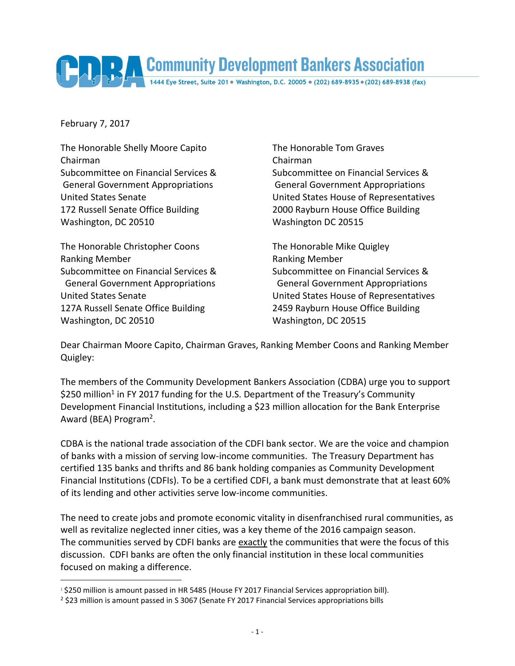## Community Development Bankers Association

February 7, 2017

 $\overline{a}$ 

The Honorable Shelly Moore Capito The Honorable Tom Graves Chairman Chairman 172 Russell Senate Office Building 2000 Rayburn House Office Building Washington, DC 20510 Washington DC 20515

The Honorable Christopher Coons The Honorable Mike Quigley Ranking Member **Ranking Member** Ranking Member 127A Russell Senate Office Building 2459 Rayburn House Office Building Washington, DC 20510 Washington, DC 20515

Subcommittee on Financial Services & Subcommittee on Financial Services & General Government Appropriations General Government Appropriations United States Senate United States House of Representatives

Subcommittee on Financial Services & Subcommittee on Financial Services & General Government Appropriations General Government Appropriations United States Senate United States House of Representatives

Dear Chairman Moore Capito, Chairman Graves, Ranking Member Coons and Ranking Member Quigley:

The members of the Community Development Bankers Association (CDBA) urge you to support \$250 million<sup>1</sup> in FY 2017 funding for the U.S. Department of the Treasury's Community Development Financial Institutions, including a \$23 million allocation for the Bank Enterprise Award (BEA) Program<sup>2</sup>.

CDBA is the national trade association of the CDFI bank sector. We are the voice and champion of banks with a mission of serving low-income communities. The Treasury Department has certified 135 banks and thrifts and 86 bank holding companies as Community Development Financial Institutions (CDFIs). To be a certified CDFI, a bank must demonstrate that at least 60% of its lending and other activities serve low-income communities.

The need to create jobs and promote economic vitality in disenfranchised rural communities, as well as revitalize neglected inner cities, was a key theme of the 2016 campaign season. The communities served by CDFI banks are exactly the communities that were the focus of this discussion. CDFI banks are often the only financial institution in these local communities focused on making a difference.

<sup>&</sup>lt;sup>1</sup> \$250 million is amount passed in HR 5485 (House FY 2017 Financial Services appropriation bill).

<sup>2</sup> \$23 million is amount passed in S 3067 (Senate FY 2017 Financial Services appropriations bills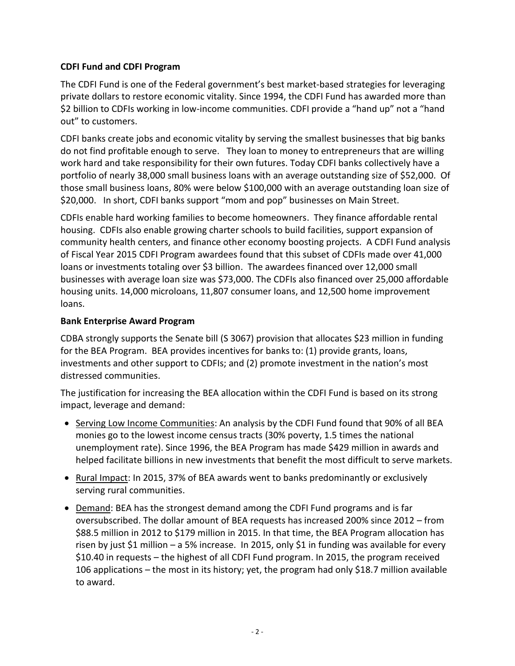## **CDFI Fund and CDFI Program**

The CDFI Fund is one of the Federal government's best market-based strategies for leveraging private dollars to restore economic vitality. Since 1994, the CDFI Fund has awarded more than \$2 billion to CDFIs working in low-income communities. CDFI provide a "hand up" not a "hand out" to customers.

CDFI banks create jobs and economic vitality by serving the smallest businesses that big banks do not find profitable enough to serve. They loan to money to entrepreneurs that are willing work hard and take responsibility for their own futures. Today CDFI banks collectively have a portfolio of nearly 38,000 small business loans with an average outstanding size of \$52,000. Of those small business loans, 80% were below \$100,000 with an average outstanding loan size of \$20,000. In short, CDFI banks support "mom and pop" businesses on Main Street.

CDFIs enable hard working families to become homeowners. They finance affordable rental housing. CDFIs also enable growing charter schools to build facilities, support expansion of community health centers, and finance other economy boosting projects. A CDFI Fund analysis of Fiscal Year 2015 CDFI Program awardees found that this subset of CDFIs made over 41,000 loans or investments totaling over \$3 billion. The awardees financed over 12,000 small businesses with average loan size was \$73,000. The CDFIs also financed over 25,000 affordable housing units. 14,000 microloans, 11,807 consumer loans, and 12,500 home improvement loans.

## **Bank Enterprise Award Program**

CDBA strongly supports the Senate bill (S 3067) provision that allocates \$23 million in funding for the BEA Program. BEA provides incentives for banks to: (1) provide grants, loans, investments and other support to CDFIs; and (2) promote investment in the nation's most distressed communities.

The justification for increasing the BEA allocation within the CDFI Fund is based on its strong impact, leverage and demand:

- Serving Low Income Communities: An analysis by the CDFI Fund found that 90% of all BEA monies go to the lowest income census tracts (30% poverty, 1.5 times the national unemployment rate). Since 1996, the BEA Program has made \$429 million in awards and helped facilitate billions in new investments that benefit the most difficult to serve markets.
- Rural Impact: In 2015, 37% of BEA awards went to banks predominantly or exclusively serving rural communities.
- Demand: BEA has the strongest demand among the CDFI Fund programs and is far oversubscribed. The dollar amount of BEA requests has increased 200% since 2012 – from \$88.5 million in 2012 to \$179 million in 2015. In that time, the BEA Program allocation has risen by just \$1 million – a 5% increase. In 2015, only \$1 in funding was available for every \$10.40 in requests – the highest of all CDFI Fund program. In 2015, the program received 106 applications – the most in its history; yet, the program had only \$18.7 million available to award.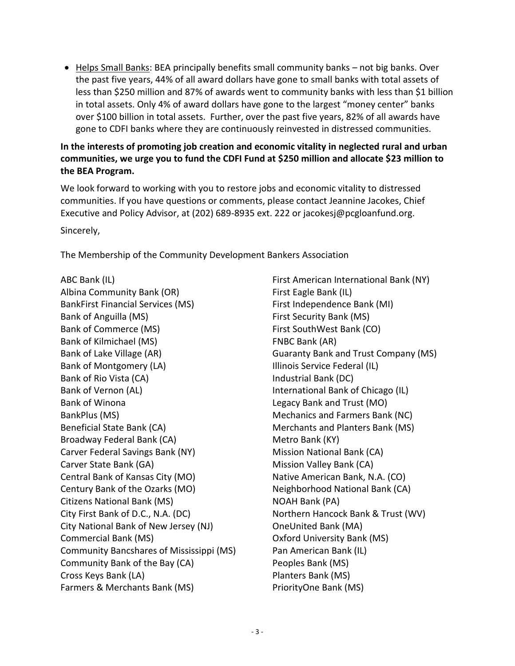$\bullet$  Helps Small Banks: BEA principally benefits small community banks – not big banks. Over the past five years, 44% of all award dollars have gone to small banks with total assets of less than \$250 million and 87% of awards went to community banks with less than \$1 billion in total assets. Only 4% of award dollars have gone to the largest "money center" banks over \$100 billion in total assets. Further, over the past five years, 82% of all awards have gone to CDFI banks where they are continuously reinvested in distressed communities.

## **In the interests of promoting job creation and economic vitality in neglected rural and urban communities, we urge you to fund the CDFI Fund at \$250 million and allocate \$23 million to the BEA Program.**

We look forward to working with you to restore jobs and economic vitality to distressed communities. If you have questions or comments, please contact Jeannine Jacokes, Chief Executive and Policy Advisor, at (202) 689-8935 ext. 222 or jacokesj@pcgloanfund.org. Sincerely,

The Membership of the Community Development Bankers Association

ABC Bank (IL) Albina Community Bank (OR) BankFirst Financial Services (MS) Bank of Anguilla (MS) Bank of Commerce (MS) Bank of Kilmichael (MS) Bank of Lake Village (AR) Bank of Montgomery (LA) Bank of Rio Vista (CA) Bank of Vernon (AL) Bank of Winona BankPlus (MS) Beneficial State Bank (CA) Broadway Federal Bank (CA) Carver Federal Savings Bank (NY) Carver State Bank (GA) Central Bank of Kansas City (MO) Century Bank of the Ozarks (MO) Citizens National Bank (MS) City First Bank of D.C., N.A. (DC) City National Bank of New Jersey (NJ) Commercial Bank (MS) Community Bancshares of Mississippi (MS) Community Bank of the Bay (CA) Cross Keys Bank (LA) Farmers & Merchants Bank (MS)

First American International Bank (NY) First Eagle Bank (IL) First Independence Bank (MI) First Security Bank (MS) First SouthWest Bank (CO) FNBC Bank (AR) Guaranty Bank and Trust Company (MS) Illinois Service Federal (IL) Industrial Bank (DC) International Bank of Chicago (IL) Legacy Bank and Trust (MO) Mechanics and Farmers Bank (NC) Merchants and Planters Bank (MS) Metro Bank (KY) Mission National Bank (CA) Mission Valley Bank (CA) Native American Bank, N.A. (CO) Neighborhood National Bank (CA) NOAH Bank (PA) Northern Hancock Bank & Trust (WV) OneUnited Bank (MA) Oxford University Bank (MS) Pan American Bank (IL) Peoples Bank (MS) Planters Bank (MS) PriorityOne Bank (MS)